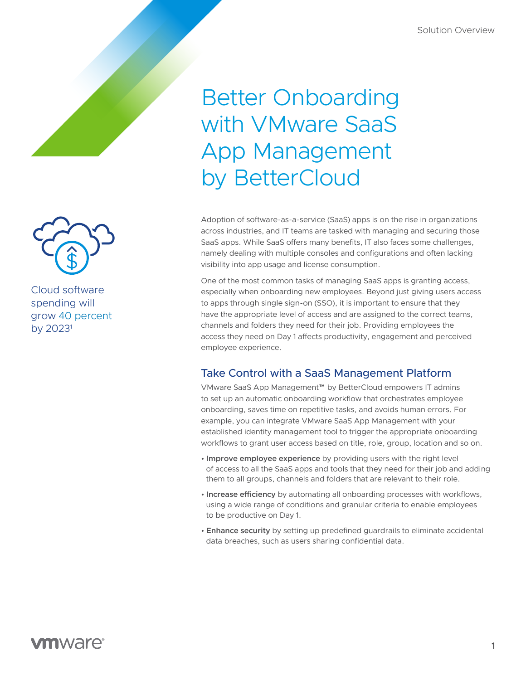## Better Onboarding with VMware SaaS App Management by BetterCloud

Adoption of software-as-a-service (SaaS) apps is on the rise in organizations across industries, and IT teams are tasked with managing and securing those SaaS apps. While SaaS offers many benefits, IT also faces some challenges, namely dealing with multiple consoles and configurations and often lacking visibility into app usage and license consumption.

One of the most common tasks of managing SaaS apps is granting access, especially when onboarding new employees. Beyond just giving users access to apps through single sign-on (SSO), it is important to ensure that they have the appropriate level of access and are assigned to the correct teams, channels and folders they need for their job. Providing employees the access they need on Day 1 affects productivity, engagement and perceived employee experience.

## Take Control with a SaaS Management Platform

VMware SaaS App Management™ by BetterCloud empowers IT admins to set up an automatic onboarding workflow that orchestrates employee onboarding, saves time on repetitive tasks, and avoids human errors. For example, you can integrate VMware SaaS App Management with your established identity management tool to trigger the appropriate onboarding workflows to grant user access based on title, role, group, location and so on.

- **Improve employee experience** by providing users with the right level of access to all the SaaS apps and tools that they need for their job and adding them to all groups, channels and folders that are relevant to their role.
- **Increase efficiency** by automating all onboarding processes with workflows, using a wide range of conditions and granular criteria to enable employees to be productive on Day 1.
- **Enhance security** by setting up predefined guardrails to eliminate accidental data breaches, such as users sharing confidential data.



Cloud software spending will grow 40 percent by  $2023<sup>1</sup>$